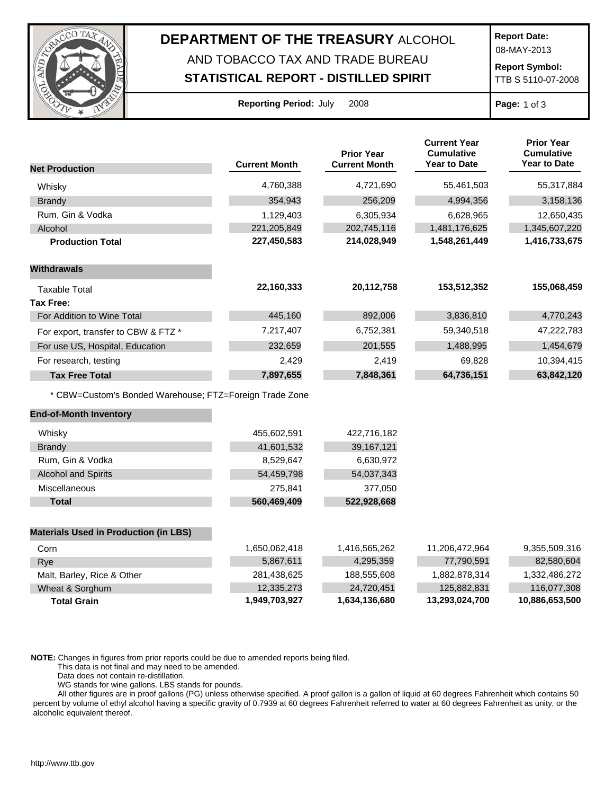

## **DEPARTMENT OF THE TREASURY** ALCOHOL

## AND TOBACCO TAX AND TRADE BUREAU

**STATISTICAL REPORT - DISTILLED SPIRIT**

**Report Date:**

08-MAY-2013

**Report Symbol:** TTB S 5110-07-2008

| <b>Reporting Period: July</b> |  |  | 200 |
|-------------------------------|--|--|-----|
|-------------------------------|--|--|-----|

**Reporting Period:** July 2008 **Page:** 1 of 3

|                                                         |                      | <b>Prior Year</b>    | <b>Current Year</b><br><b>Cumulative</b> | <b>Prior Year</b><br><b>Cumulative</b> |
|---------------------------------------------------------|----------------------|----------------------|------------------------------------------|----------------------------------------|
| <b>Net Production</b>                                   | <b>Current Month</b> | <b>Current Month</b> | <b>Year to Date</b>                      | <b>Year to Date</b>                    |
| Whisky                                                  | 4,760,388            | 4,721,690            | 55,461,503                               | 55,317,884                             |
| <b>Brandy</b>                                           | 354,943              | 256,209              | 4,994,356                                | 3,158,136                              |
| Rum, Gin & Vodka                                        | 1,129,403            | 6,305,934            | 6,628,965                                | 12,650,435                             |
| Alcohol                                                 | 221,205,849          | 202,745,116          | 1,481,176,625                            | 1,345,607,220                          |
| <b>Production Total</b>                                 | 227,450,583          | 214,028,949          | 1,548,261,449                            | 1,416,733,675                          |
| <b>Withdrawals</b>                                      |                      |                      |                                          |                                        |
| <b>Taxable Total</b>                                    | 22,160,333           | 20,112,758           | 153,512,352                              | 155,068,459                            |
| <b>Tax Free:</b>                                        |                      |                      |                                          |                                        |
| For Addition to Wine Total                              | 445,160              | 892,006              | 3,836,810                                | 4,770,243                              |
| For export, transfer to CBW & FTZ *                     | 7,217,407            | 6,752,381            | 59,340,518                               | 47,222,783                             |
| For use US, Hospital, Education                         | 232,659              | 201,555              | 1,488,995                                | 1,454,679                              |
| For research, testing                                   | 2,429                | 2,419                | 69,828                                   | 10,394,415                             |
| <b>Tax Free Total</b>                                   | 7,897,655            | 7,848,361            | 64,736,151                               | 63,842,120                             |
| * CBW=Custom's Bonded Warehouse; FTZ=Foreign Trade Zone |                      |                      |                                          |                                        |
| <b>End-of-Month Inventory</b>                           |                      |                      |                                          |                                        |
| Whisky                                                  | 455,602,591          | 422,716,182          |                                          |                                        |
| <b>Brandy</b>                                           | 41,601,532           | 39,167,121           |                                          |                                        |
| Rum, Gin & Vodka                                        | 8,529,647            | 6,630,972            |                                          |                                        |
| <b>Alcohol and Spirits</b>                              | 54,459,798           | 54,037,343           |                                          |                                        |
| Miscellaneous                                           | 275,841              | 377,050              |                                          |                                        |
| <b>Total</b>                                            | 560,469,409          | 522,928,668          |                                          |                                        |
|                                                         |                      |                      |                                          |                                        |
| <b>Materials Used in Production (in LBS)</b>            |                      |                      |                                          |                                        |
| Corn                                                    | 1,650,062,418        | 1,416,565,262        | 11,206,472,964                           | 9,355,509,316                          |
| Rye                                                     | 5,867,611            | 4,295,359            | 77,790,591                               | 82,580,604                             |
| Malt, Barley, Rice & Other                              | 281,438,625          | 188,555,608          | 1,882,878,314                            | 1,332,486,272                          |
| Wheat & Sorghum                                         | 12,335,273           | 24,720,451           | 125,882,831                              | 116,077,308                            |

**Total Grain 1,949,703,927 1,634,136,680 13,293,024,700 10,886,653,500**

**NOTE:** Changes in figures from prior reports could be due to amended reports being filed.

This data is not final and may need to be amended.

Data does not contain re-distillation.

WG stands for wine gallons. LBS stands for pounds.

All other figures are in proof gallons (PG) unless otherwise specified. A proof gallon is a gallon of liquid at 60 degrees Fahrenheit which contains 50 percent by volume of ethyl alcohol having a specific gravity of 0.7939 at 60 degrees Fahrenheit referred to water at 60 degrees Fahrenheit as unity, or the alcoholic equivalent thereof.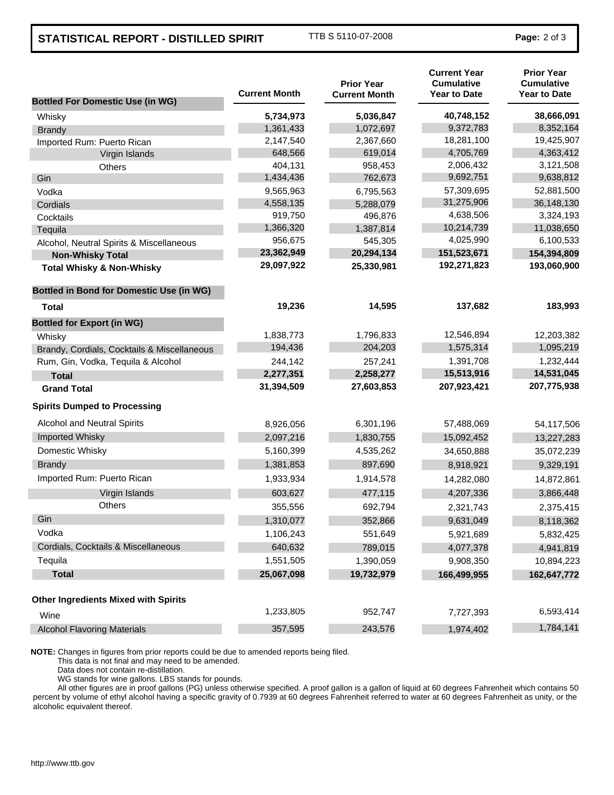## **STATISTICAL REPORT - DISTILLED SPIRIT** TTB S 5110-07-2008 **Page: 2 of 3**

| <b>Bottled For Domestic Use (in WG)</b>         | <b>Current Month</b> | <b>Prior Year</b><br><b>Current Month</b> | <b>Current Year</b><br><b>Cumulative</b><br><b>Year to Date</b> | <b>Prior Year</b><br><b>Cumulative</b><br><b>Year to Date</b> |
|-------------------------------------------------|----------------------|-------------------------------------------|-----------------------------------------------------------------|---------------------------------------------------------------|
| Whisky                                          | 5,734,973            | 5,036,847                                 | 40,748,152                                                      | 38,666,091                                                    |
| <b>Brandy</b>                                   | 1,361,433            | 1,072,697                                 | 9,372,783                                                       | 8,352,164                                                     |
| Imported Rum: Puerto Rican                      | 2,147,540            | 2,367,660                                 | 18,281,100                                                      | 19,425,907                                                    |
| Virgin Islands                                  | 648,566              | 619,014                                   | 4,705,769                                                       | 4,363,412                                                     |
| Others                                          | 404,131              | 958,453                                   | 2,006,432                                                       | 3,121,508                                                     |
| Gin                                             | 1,434,436            | 762,673                                   | 9,692,751                                                       | 9,638,812                                                     |
| Vodka                                           | 9,565,963            | 6,795,563                                 | 57,309,695                                                      | 52,881,500                                                    |
| Cordials                                        | 4,558,135            | 5,288,079                                 | 31,275,906                                                      | 36,148,130                                                    |
| Cocktails                                       | 919,750              | 496,876                                   | 4,638,506                                                       | 3,324,193                                                     |
| Tequila                                         | 1,366,320            | 1,387,814                                 | 10,214,739                                                      | 11,038,650                                                    |
| Alcohol, Neutral Spirits & Miscellaneous        | 956,675              | 545,305                                   | 4,025,990                                                       | 6,100,533                                                     |
| <b>Non-Whisky Total</b>                         | 23,362,949           | 20,294,134                                | 151,523,671                                                     | 154,394,809                                                   |
| <b>Total Whisky &amp; Non-Whisky</b>            | 29,097,922           | 25,330,981                                | 192,271,823                                                     | 193,060,900                                                   |
| <b>Bottled in Bond for Domestic Use (in WG)</b> |                      |                                           |                                                                 |                                                               |
| Total                                           | 19,236               | 14,595                                    | 137,682                                                         | 183,993                                                       |
| <b>Bottled for Export (in WG)</b>               |                      |                                           |                                                                 |                                                               |
| Whisky                                          | 1,838,773            | 1,796,833                                 | 12,546,894                                                      | 12,203,382                                                    |
| Brandy, Cordials, Cocktails & Miscellaneous     | 194,436              | 204,203                                   | 1,575,314                                                       | 1,095,219                                                     |
| Rum, Gin, Vodka, Tequila & Alcohol              | 244,142              | 257,241                                   | 1,391,708                                                       | 1,232,444                                                     |
| <b>Total</b>                                    | 2,277,351            | 2,258,277                                 | 15,513,916                                                      | 14,531,045                                                    |
| <b>Grand Total</b>                              | 31,394,509           | 27,603,853                                | 207,923,421                                                     | 207,775,938                                                   |
| <b>Spirits Dumped to Processing</b>             |                      |                                           |                                                                 |                                                               |
| Alcohol and Neutral Spirits                     | 8,926,056            | 6,301,196                                 | 57,488,069                                                      | 54,117,506                                                    |
| Imported Whisky                                 | 2,097,216            | 1,830,755                                 | 15,092,452                                                      | 13,227,283                                                    |
| Domestic Whisky                                 | 5,160,399            | 4,535,262                                 | 34,650,888                                                      | 35,072,239                                                    |
| <b>Brandy</b>                                   | 1,381,853            | 897,690                                   | 8,918,921                                                       | 9,329,191                                                     |
| Imported Rum: Puerto Rican                      | 1,933,934            | 1,914,578                                 | 14,282,080                                                      | 14,872,861                                                    |
| Virgin Islands                                  | 603,627              | 477,115                                   | 4,207,336                                                       | 3,866,448                                                     |
| <b>Others</b>                                   | 355,556              | 692,794                                   | 2,321,743                                                       | 2,375,415                                                     |
| Gin                                             | 1,310,077            | 352,866                                   | 9,631,049                                                       | 8,118,362                                                     |
| Vodka                                           | 1,106,243            | 551,649                                   | 5,921,689                                                       | 5,832,425                                                     |
| Cordials, Cocktails & Miscellaneous             | 640,632              | 789,015                                   | 4,077,378                                                       | 4,941,819                                                     |
| Tequila                                         | 1,551,505            | 1,390,059                                 | 9,908,350                                                       | 10,894,223                                                    |
| <b>Total</b>                                    | 25,067,098           | 19,732,979                                | 166,499,955                                                     | 162,647,772                                                   |
| <b>Other Ingredients Mixed with Spirits</b>     |                      |                                           |                                                                 |                                                               |
| Wine                                            | 1,233,805            | 952,747                                   | 7,727,393                                                       | 6,593,414                                                     |
| <b>Alcohol Flavoring Materials</b>              | 357,595              | 243,576                                   | 1,974,402                                                       | 1,784,141                                                     |

**NOTE:** Changes in figures from prior reports could be due to amended reports being filed.

This data is not final and may need to be amended.

Data does not contain re-distillation.

WG stands for wine gallons. LBS stands for pounds.

All other figures are in proof gallons (PG) unless otherwise specified. A proof gallon is a gallon of liquid at 60 degrees Fahrenheit which contains 50 percent by volume of ethyl alcohol having a specific gravity of 0.7939 at 60 degrees Fahrenheit referred to water at 60 degrees Fahrenheit as unity, or the alcoholic equivalent thereof.